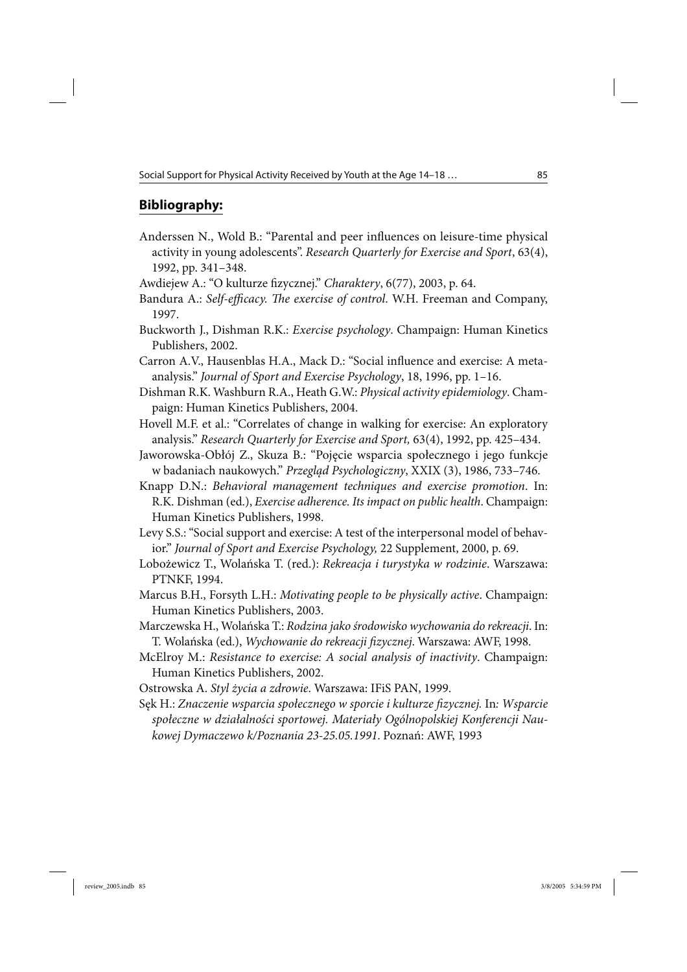## **Bibliography:**

- Anderssen N., Wold B.: "Parental and peer influences on leisure-time physical activity in young adolescents". *Research Quarterly for Exercise and Sport*, 63(4), 1992, pp. 341–348.
- Awdiejew A.: "O kulturze fizycznej." *Charaktery*, 6(77), 2003, p. 64.
- Bandura A.: *Self-efficacy. The exercise of control*. W.H. Freeman and Company, 1997.
- Buckworth J., Dishman R.K.: *Exercise psychology*. Champaign: Human Kinetics Publishers, 2002.
- Carron A.V., Hausenblas H.A., Mack D.: "Social influence and exercise: A metaanalysis." *Journal of Sport and Exercise Psychology*, 18, 1996, pp. 1–16.
- Dishman R.K. Washburn R.A., Heath G.W.: *Physical activity epidemiology*. Champaign: Human Kinetics Publishers, 2004.
- Hovell M.F. et al.: "Correlates of change in walking for exercise: An exploratory analysis." *Research Quarterly for Exercise and Sport,* 63(4), 1992, pp. 425–434.
- Jaworowska-Obłój Z., Skuza B.: "Pojęcie wsparcia społecznego i jego funkcje w badaniach naukowych." *Przegląd Psychologiczny*, XXIX (3), 1986, 733–746.
- Knapp D.N.: *Behavioral management techniques and exercise promotion*. In: R.K. Dishman (ed.), *Exercise adherence. Its impact on public health*. Champaign: Human Kinetics Publishers, 1998.
- Levy S.S.: "Social support and exercise: A test of the interpersonal model of behavior." *Journal of Sport and Exercise Psychology,* 22 Supplement, 2000, p. 69.
- Lobożewicz T., Wolańska T. (red.): *Rekreacja i turystyka w rodzinie*. Warszawa: PTNKF, 1994.
- Marcus B.H., Forsyth L.H.: *Motivating people to be physically active*. Champaign: Human Kinetics Publishers, 2003.
- Marczewska H., Wolańska T.: *Rodzina jako środowisko wychowania do rekreacji*. In: T. Wolańska (ed.), *Wychowanie do rekreacji fizycznej*. Warszawa: AWF, 1998.
- McElroy M.: *Resistance to exercise: A social analysis of inactivity*. Champaign: Human Kinetics Publishers, 2002.
- Ostrowska A. *Styl życia a zdrowie*. Warszawa: IFiS PAN, 1999.
- Sęk H.: *Znaczenie wsparcia społecznego w sporcie i kulturze fizycznej.* In*: Wsparcie społeczne w działalności sportowej. Materiały Ogólnopolskiej Konferencji Naukowej Dymaczewo k/Poznania 23-25.05.1991*. Poznań: AWF, 1993